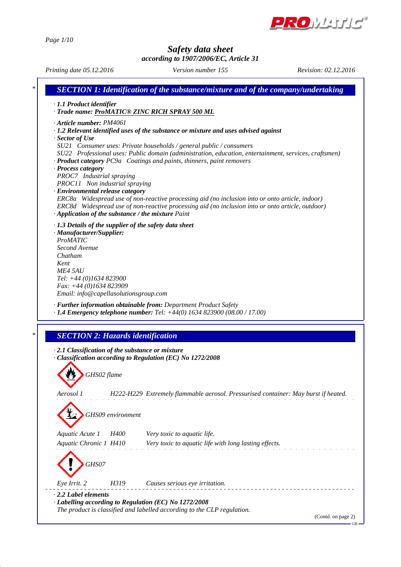

*Page 1/10*

## *Safety data sheet*

*according to 1907/2006/EC, Article 31*

*Printing date 05.12.2016 Revision: 02.12.2016 Version number 155*

GB

*\* SECTION 1: Identification of the substance/mixture and of the company/undertaking · 1.1 Product identifier · Trade name: ProMATIC® ZINC RICH SPRAY 500 ML · Article number: PM4061 · 1.2 Relevant identified uses of the substance or mixture and uses advised against · Sector of Use SU21 Consumer uses: Private households / general public / consumers SU22 Professional uses: Public domain (administration, education, entertainment, services, craftsmen) · Product category PC9a Coatings and paints, thinners, paint removers · Process category PROC7 Industrial spraying PROC11 Non industrial spraying · Environmental release category ERC8a Widespread use of non-reactive processing aid (no inclusion into or onto article, indoor) ERC8d Widespread use of non-reactive processing aid (no inclusion into or onto article, outdoor) · Application of the substance / the mixture Paint · 1.3 Details of the supplier of the safety data sheet · Manufacturer/Supplier: ProMATIC Second Avenue Chatham Kent ME4 5AU Tel: +44 (0)1634 823900 Fax: +44 (0)1634 823909 Email: info@capellasolutionsgroup.com · Further information obtainable from: Department Product Safety · 1.4 Emergency telephone number: Tel: +44(0) 1634 823900 (08.00 / 17.00) \* SECTION 2: Hazards identification · 2.1 Classification of the substance or mixture · Classification according to Regulation (EC) No 1272/2008 GHS02 flame Aerosol 1 H222-H229 Extremely flammable aerosol. Pressurised container: May burst if heated. GHS09 environment Aquatic Acute 1 H400 Very toxic to aquatic life. Aquatic Chronic 1 H410 Very toxic to aquatic life with long lasting effects. GHS07 Eye Irrit. 2 H319 Causes serious eye irritation. · 2.2 Label elements · Labelling according to Regulation (EC) No 1272/2008 The product is classified and labelled according to the CLP regulation.* (Contd. on page 2)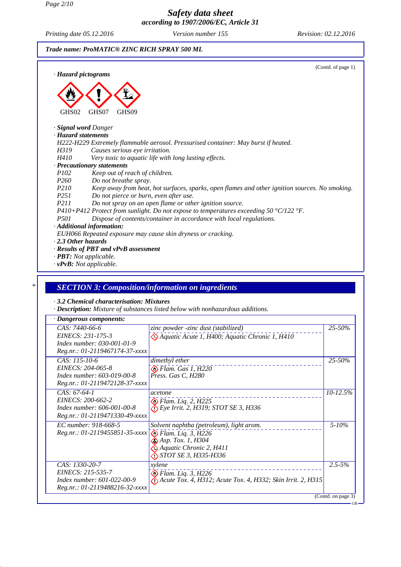*Page 2/10*

## *Safety data sheet according to 1907/2006/EC, Article 31*

*Printing date 05.12.2016 Version number 155 Revision: 02.12.2016* 





## *· 3.2 Chemical characterisation: Mixtures*

*· Description: Mixture of substances listed below with nonhazardous additions.*

| · Dangerous components:                                                                                    |                                                                                                                                          |              |
|------------------------------------------------------------------------------------------------------------|------------------------------------------------------------------------------------------------------------------------------------------|--------------|
| CAS: 7440-66-6<br>EINECS: 231-175-3<br>Index number: 030-001-01-9<br>Reg.nr.: 01-2119467174-37-xxxx        | zinc powder -zinc dust (stabilized)<br><sup>2</sup> Aquatic Acute 1, H400; Aquatic Chronic 1, H410                                       | 25-50%       |
| CAS: 115-10-6<br>EINECS: 204-065-8<br>Index number: 603-019-00-8<br>Reg.nr.: 01-2119472128-37-xxxx         | dimethyl ether<br>Flam. Gas 1, H220<br>Press. Gas C, H280                                                                                | 25-50%       |
| $CAS: 67-64-1$<br>EINECS: 200-662-2<br><i>Index number:</i> 606-001-00-8<br>Reg.nr.: 01-2119471330-49-xxxx | acetone<br>$\bullet$ Flam. Liq. 2, H225<br>Eye Irrit. 2, H319; STOT SE 3, H336                                                           | $10 - 12.5%$ |
| EC number: 918-668-5<br>Reg.nr.: 01-2119455851-35-xxxx <a> Flam. Liq. 3, H226</a>                          | Solvent naphtha (petroleum), light arom.<br>$\bigotimes$ Asp. Tox. 1, H304<br>Aquatic Chronic 2, H411<br>$\bigcirc$ STOT SE 3, H335-H336 | $5 - 10\%$   |
| CAS: 1330-20-7<br>EINECS: 215-535-7<br>Index number: 601-022-00-9<br>Reg.nr.: 01-2119488216-32-xxxx        | xylene<br>$\bigotimes$ Flam. Liq. 3, H226<br>$\bigotimes$ Acute Tox. 4, H312; Acute Tox. 4, H332; Skin Irrit. 2, H315                    | $2.5 - 5%$   |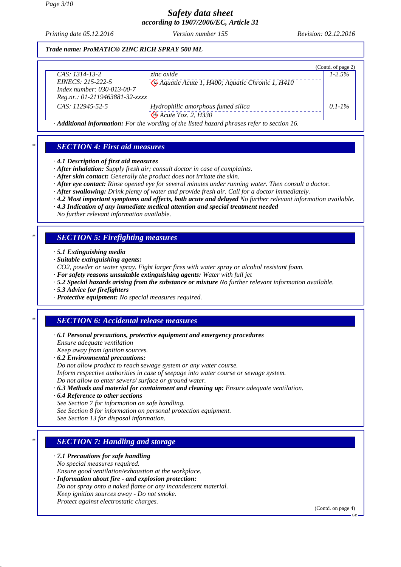*Printing date 05.12.2016 Revision: 02.12.2016 Version number 155*

*Trade name: ProMATIC® ZINC RICH SPRAY 500 ML*

|                                  |                                                                                          | (Contd. of page 2) |
|----------------------------------|------------------------------------------------------------------------------------------|--------------------|
| $CAS: 1314-13-2$                 | zinc oxide                                                                               | $1-2.5\%$          |
| $EINECS: 215-222-5$              | Aquatic Acute 1, H400; Aquatic Chronic 1, H410                                           |                    |
| Index number: 030-013-00-7       |                                                                                          |                    |
| $Reg.nr.: 01-2119463881-32-xxxx$ |                                                                                          |                    |
| $CAS: 112945-52-5$               | Hydrophilic amorphous fumed silica                                                       | $0.1 - 1\%$        |
|                                  | $\bigotimes$ Acute Tox. 2, $\overline{H}330$                                             |                    |
|                                  | A different information. For the wording of the listed becaud physics when to section 16 |                    |

*· Additional information: For the wording of the listed hazard phrases refer to section 16.*

## *\* SECTION 4: First aid measures*

*· 4.1 Description of first aid measures*

- *· After inhalation: Supply fresh air; consult doctor in case of complaints.*
- *· After skin contact: Generally the product does not irritate the skin.*
- *· After eye contact: Rinse opened eye for several minutes under running water. Then consult a doctor.*
- *· After swallowing: Drink plenty of water and provide fresh air. Call for a doctor immediately.*
- *· 4.2 Most important symptoms and effects, both acute and delayed No further relevant information available.*
- *· 4.3 Indication of any immediate medical attention and special treatment needed*

*No further relevant information available.*

## *\* SECTION 5: Firefighting measures*

- *· 5.1 Extinguishing media*
- *· Suitable extinguishing agents:*
- *CO2, powder or water spray. Fight larger fires with water spray or alcohol resistant foam.*
- *· For safety reasons unsuitable extinguishing agents: Water with full jet*
- *· 5.2 Special hazards arising from the substance or mixture No further relevant information available.*
- *· 5.3 Advice for firefighters*
- *· Protective equipment: No special measures required.*

# *\* SECTION 6: Accidental release measures*

- *· 6.1 Personal precautions, protective equipment and emergency procedures Ensure adequate ventilation Keep away from ignition sources.*
- *· 6.2 Environmental precautions: Do not allow product to reach sewage system or any water course. Inform respective authorities in case of seepage into water course or sewage system. Do not allow to enter sewers/ surface or ground water.*
- *· 6.3 Methods and material for containment and cleaning up: Ensure adequate ventilation.*
- *· 6.4 Reference to other sections*

*See Section 7 for information on safe handling.*

*See Section 8 for information on personal protection equipment.*

*See Section 13 for disposal information.*

# *\* SECTION 7: Handling and storage*

#### *· 7.1 Precautions for safe handling*

- *No special measures required.*
- *Ensure good ventilation/exhaustion at the workplace.*
- *· Information about fire and explosion protection:*
- *Do not spray onto a naked flame or any incandescent material. Keep ignition sources away - Do not smoke.*
- *Protect against electrostatic charges.*

(Contd. on page 4)

 $CD$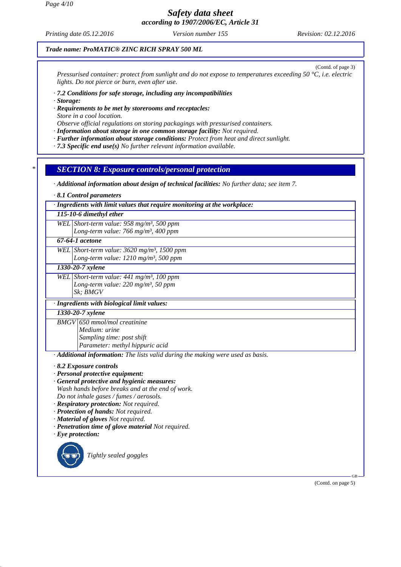*Printing date 05.12.2016 Revision: 02.12.2016 Version number 155*

#### *Trade name: ProMATIC® ZINC RICH SPRAY 500 ML*

(Contd. of page 3) *Pressurised container: protect from sunlight and do not expose to temperatures exceeding 50 °C, i.e. electric lights. Do not pierce or burn, even after use.*

#### *· 7.2 Conditions for safe storage, including any incompatibilities*

*· Storage:*

*· Requirements to be met by storerooms and receptacles: Store in a cool location.*

*Observe official regulations on storing packagings with pressurised containers.*

- *· Information about storage in one common storage facility: Not required.*
- *· Further information about storage conditions: Protect from heat and direct sunlight.*

*· 7.3 Specific end use(s) No further relevant information available.*

## *\* SECTION 8: Exposure controls/personal protection*

*· Additional information about design of technical facilities: No further data; see item 7.*

*· 8.1 Control parameters*

*· Ingredients with limit values that require monitoring at the workplace:*

#### *115-10-6 dimethyl ether*

*WEL Short-term value: 958 mg/m³, 500 ppm Long-term value: 766 mg/m³, 400 ppm*

## *67-64-1 acetone*

*WEL Short-term value: 3620 mg/m³, 1500 ppm Long-term value: 1210 mg/m³, 500 ppm*

*1330-20-7 xylene*

*WEL Short-term value: 441 mg/m³, 100 ppm Long-term value: 220 mg/m³, 50 ppm Sk; BMGV*

## *· Ingredients with biological limit values:*

*1330-20-7 xylene*

*BMGV 650 mmol/mol creatinine Medium: urine Sampling time: post shift Parameter: methyl hippuric acid*

*· Additional information: The lists valid during the making were used as basis.*

- *· 8.2 Exposure controls*
- *· Personal protective equipment:*
- *· General protective and hygienic measures: Wash hands before breaks and at the end of work. Do not inhale gases / fumes / aerosols.*
- *· Respiratory protection: Not required.*
- *· Protection of hands: Not required.*
- *· Material of gloves Not required.*
- *· Penetration time of glove material Not required.*
- *· Eye protection:*



*Tightly sealed goggles*

(Contd. on page 5)

GB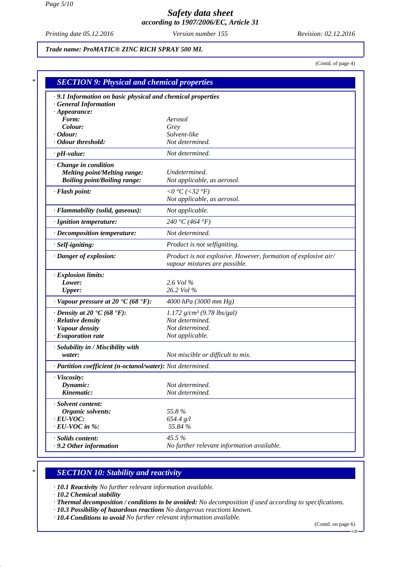*Printing date 05.12.2016 Revision: 02.12.2016 Version number 155*

*Trade name: ProMATIC® ZINC RICH SPRAY 500 ML*

(Contd. of page 4)

| · 9.1 Information on basic physical and chemical properties<br><b>General Information</b> |                                                                                                 |
|-------------------------------------------------------------------------------------------|-------------------------------------------------------------------------------------------------|
| $\cdot$ Appearance:                                                                       |                                                                                                 |
| Form:                                                                                     | Aerosol                                                                                         |
| Colour:                                                                                   | Grey                                                                                            |
| <i>• Odour:</i>                                                                           | Solvent-like                                                                                    |
| · Odour threshold:                                                                        | Not determined.                                                                                 |
| $\cdot$ pH-value:                                                                         | Not determined.                                                                                 |
| Change in condition                                                                       |                                                                                                 |
| <b>Melting point/Melting range:</b>                                                       | Undetermined.                                                                                   |
| <b>Boiling point/Boiling range:</b>                                                       | Not applicable, as aerosol.                                                                     |
| · Flash point:                                                                            | $0^{\circ}C$ (<32 $^{\circ}F$ )                                                                 |
|                                                                                           | Not applicable, as aerosol.                                                                     |
| · Flammability (solid, gaseous):                                                          | Not applicable.                                                                                 |
| · Ignition temperature:                                                                   | 240 °C (464 °F)                                                                                 |
| $\cdot$ Decomposition temperature:                                                        | Not determined.                                                                                 |
| · Self-igniting:                                                                          | Product is not selfigniting.                                                                    |
| · Danger of explosion:                                                                    | Product is not explosive. However, formation of explosive air/<br>vapour mixtures are possible. |
| · Explosion limits:                                                                       |                                                                                                 |
| Lower:                                                                                    | 2.6 Vol %                                                                                       |
| <b>Upper:</b>                                                                             | 26.2 Vol %                                                                                      |
| $\cdot$ Vapour pressure at 20 $\cdot$ C (68 $\cdot$ F):                                   | 4000 hPa (3000 mm Hg)                                                                           |
| $\cdot$ Density at 20 $\cdot$ C (68 $\cdot$ F):                                           | $1.172$ g/cm <sup>3</sup> (9.78 lbs/gal)                                                        |
| · Relative density                                                                        | Not determined.                                                                                 |
| · Vapour density                                                                          | Not determined.                                                                                 |
| $\cdot$ Evaporation rate                                                                  | Not applicable.                                                                                 |
| · Solubility in / Miscibility with                                                        |                                                                                                 |
| water:                                                                                    | Not miscible or difficult to mix.                                                               |
| · Partition coefficient (n-octanol/water): Not determined.                                |                                                                                                 |
| · Viscosity:                                                                              |                                                                                                 |
| Dynamic:                                                                                  | Not determined.                                                                                 |
| Kinematic:                                                                                | Not determined.                                                                                 |
| · Solvent content:                                                                        |                                                                                                 |
| Organic solvents:                                                                         | 55.8%                                                                                           |
| $\cdot$ EU-VOC:                                                                           | 654.4 g/l                                                                                       |
| $\cdot$ EU-VOC in %:                                                                      | 55.84 %                                                                                         |
| · Solids content:                                                                         | 45.5 %                                                                                          |
| $\cdot$ 9.2 Other information                                                             | No further relevant information available.                                                      |

#### *\* SECTION 10: Stability and reactivity*

*· 10.1 Reactivity No further relevant information available.*

*· 10.2 Chemical stability*

*· Thermal decomposition / conditions to be avoided: No decomposition if used according to specifications.*

- *· 10.3 Possibility of hazardous reactions No dangerous reactions known.*
- *· 10.4 Conditions to avoid No further relevant information available.*

(Contd. on page 6)

GB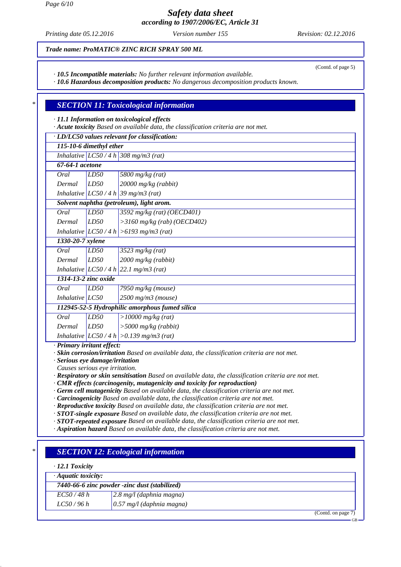*Page 6/10*

*Safety data sheet according to 1907/2006/EC, Article 31*

*Printing date 05.12.2016 Revision: 02.12.2016 Version number 155*

(Contd. of page 5)

*Trade name: ProMATIC® ZINC RICH SPRAY 500 ML*

*· 10.5 Incompatible materials: No further relevant information available.*

*· 10.6 Hazardous decomposition products: No dangerous decomposition products known.*

## *\* SECTION 11: Toxicological information*

*· 11.1 Information on toxicological effects*

*· Acute toxicity Based on available data, the classification criteria are not met.*

*· LD/LC50 values relevant for classification: 115-10-6 dimethyl ether*

| 115-10-0 atmentyt einer |  |                                       |  |
|-------------------------|--|---------------------------------------|--|
|                         |  | Inhalative $LC50/4 h$ 308 mg/m3 (rat) |  |

| 67-64-1 acetone |                                                                                                                                                                                                                                               |
|-----------------|-----------------------------------------------------------------------------------------------------------------------------------------------------------------------------------------------------------------------------------------------|
|                 |                                                                                                                                                                                                                                               |
|                 |                                                                                                                                                                                                                                               |
|                 | $\begin{array}{ l l } \hline\text{Oral} & \text{LD50} & \text{5800 mghg (rat)}\\ \hline \text{Dermal} & \text{LD50} & \text{20000 mghg (rabbit)}\\ \hline \text{Inhalative} & \text{LC50 / 4 h} & \text{39 mghm3 (rat)}\\ \hline \end{array}$ |

*Solvent naphtha (petroleum), light arom. Oral LD50 3592 mg/kg (rat) (OECD401)*

|                 | $\cdots$ $\cdots$                          |
|-----------------|--------------------------------------------|
| $Dermal$ $LD50$ | $\vert$ >3160 mg/kg (rab) (OECD402)        |
|                 | Inhalative $ LCS0/4 h  > 6193$ mg/m3 (rat) |

*1330-20-7 xylene*

| Oral   | LD50 | $3523$ mg/kg (rat)    |
|--------|------|-----------------------|
| Dermal | LD50 | $2000$ mg/kg (rabbit) |

*Inhalative LC50 / 4 h 22.1 mg/m3 (rat)*

*1314-13-2 zinc oxide Oral LD50 7950 mg/kg (mouse)*

*Inhalative LC50 2500 mg/m3 (mouse)*

*112945-52-5 Hydrophilic amorphous fumed silica Oral LD50 >10000 mg/kg (rat) Dermal LD50 >5000 mg/kg (rabbit)*

*Inhalative LC50 / 4 h >0.139 mg/m3 (rat)*

*· Primary irritant effect:*

*· Skin corrosion/irritation Based on available data, the classification criteria are not met.*

*· Serious eye damage/irritation*

*Causes serious eye irritation.*

*· Respiratory or skin sensitisation Based on available data, the classification criteria are not met.*

*· CMR effects (carcinogenity, mutagenicity and toxicity for reproduction)*

*· Germ cell mutagenicity Based on available data, the classification criteria are not met.*

*· Carcinogenicity Based on available data, the classification criteria are not met.*

*· Reproductive toxicity Based on available data, the classification criteria are not met.*

*· STOT-single exposure Based on available data, the classification criteria are not met.*

*· STOT-repeated exposure Based on available data, the classification criteria are not met.*

*· Aspiration hazard Based on available data, the classification criteria are not met.*

# *\* SECTION 12: Ecological information*

#### *· 12.1 Toxicity*

| $\cdot$ Aquatic toxicity: |                                               |                              |
|---------------------------|-----------------------------------------------|------------------------------|
|                           | 7440-66-6 zinc powder -zinc dust (stabilized) |                              |
| EC50/48 h                 | $\vert 2.8 \text{ mg}/l$ (daphnia magna)      |                              |
| LC50/96 h                 | $(0.57 \text{ mg}/l \text{ (daphnia magna)}$  |                              |
|                           |                                               | $C_{\text{and}}$ on noon $7$ |

(Contd. on page 7)

GB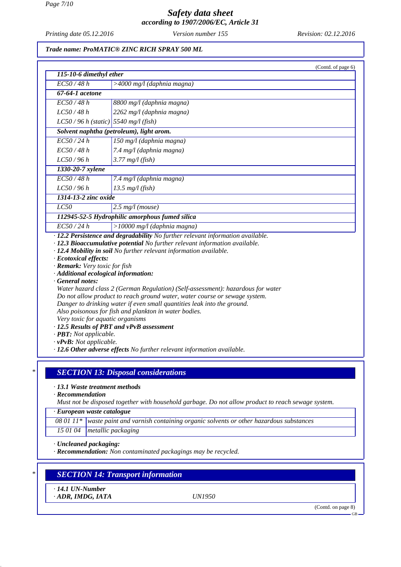*Page 7/10*

# *Safety data sheet according to 1907/2006/EC, Article 31*

*Printing date 05.12.2016 Revision: 02.12.2016 Version number 155*

#### *Trade name: ProMATIC® ZINC RICH SPRAY 500 ML*

| EC50/48h                                                                         | $>4000$ mg/l (daphnia magna)                                                                                                                                                                                                                                                                                                                                                                                                                                                                                                                                                                                                                                                                         |
|----------------------------------------------------------------------------------|------------------------------------------------------------------------------------------------------------------------------------------------------------------------------------------------------------------------------------------------------------------------------------------------------------------------------------------------------------------------------------------------------------------------------------------------------------------------------------------------------------------------------------------------------------------------------------------------------------------------------------------------------------------------------------------------------|
| $67-64-1$ acetone                                                                |                                                                                                                                                                                                                                                                                                                                                                                                                                                                                                                                                                                                                                                                                                      |
|                                                                                  |                                                                                                                                                                                                                                                                                                                                                                                                                                                                                                                                                                                                                                                                                                      |
| EC50/48h                                                                         | 8800 mg/l (daphnia magna)                                                                                                                                                                                                                                                                                                                                                                                                                                                                                                                                                                                                                                                                            |
| LC50/48h                                                                         | 2262 mg/l (daphnia magna)                                                                                                                                                                                                                                                                                                                                                                                                                                                                                                                                                                                                                                                                            |
|                                                                                  | $LC50/96 h$ (static) 5540 mg/l (fish)                                                                                                                                                                                                                                                                                                                                                                                                                                                                                                                                                                                                                                                                |
|                                                                                  | Solvent naphtha (petroleum), light arom.                                                                                                                                                                                                                                                                                                                                                                                                                                                                                                                                                                                                                                                             |
| EC50/24h                                                                         | 150 mg/l (daphnia magna)                                                                                                                                                                                                                                                                                                                                                                                                                                                                                                                                                                                                                                                                             |
| EC50/48h                                                                         | 7.4 mg/l (daphnia magna)                                                                                                                                                                                                                                                                                                                                                                                                                                                                                                                                                                                                                                                                             |
| LC50/96h                                                                         | $3.77$ mg/l (fish)                                                                                                                                                                                                                                                                                                                                                                                                                                                                                                                                                                                                                                                                                   |
| 1330-20-7 xylene                                                                 |                                                                                                                                                                                                                                                                                                                                                                                                                                                                                                                                                                                                                                                                                                      |
| EC50/48h                                                                         | 7.4 mg/l (daphnia magna)                                                                                                                                                                                                                                                                                                                                                                                                                                                                                                                                                                                                                                                                             |
| LC50/96h                                                                         | $13.5$ mg/l (fish)                                                                                                                                                                                                                                                                                                                                                                                                                                                                                                                                                                                                                                                                                   |
| 1314-13-2 zinc oxide                                                             |                                                                                                                                                                                                                                                                                                                                                                                                                                                                                                                                                                                                                                                                                                      |
| LC50                                                                             | $2.5$ mg/l (mouse)                                                                                                                                                                                                                                                                                                                                                                                                                                                                                                                                                                                                                                                                                   |
|                                                                                  | 112945-52-5 Hydrophilic amorphous fumed silica                                                                                                                                                                                                                                                                                                                                                                                                                                                                                                                                                                                                                                                       |
| EC50/24h                                                                         | $>10000$ mg/l (daphnia magna)                                                                                                                                                                                                                                                                                                                                                                                                                                                                                                                                                                                                                                                                        |
| · Ecotoxical effects:<br>· Remark: Very toxic for fish<br>$\cdot$ General notes: | · 12.2 Persistence and degradability No further relevant information available.<br>· 12.3 Bioaccumulative potential No further relevant information available.<br>· 12.4 Mobility in soil No further relevant information available.<br>· Additional ecological information:<br>Water hazard class 2 (German Regulation) (Self-assessment): hazardous for water<br>Do not allow product to reach ground water, water course or sewage system.<br>Danger to drinking water if even small quantities leak into the ground.<br>Also poisonous for fish and plankton in water bodies.<br>Very toxic for aquatic organisms<br>· 12.5 Results of PBT and vPvB assessment<br>· <b>PBT</b> : Not applicable. |

*· 13.1 Waste treatment methods*

*· Recommendation*

*Must not be disposed together with household garbage. Do not allow product to reach sewage system.*

*· European waste catalogue*

*08 01 11\* waste paint and varnish containing organic solvents or other hazardous substances*

*15 01 04 metallic packaging*

*· Uncleaned packaging:*

*· Recommendation: Non contaminated packagings may be recycled.*

# *\* SECTION 14: Transport information*

*· 14.1 UN-Number*

*· ADR, IMDG, IATA UN1950*

(Contd. on page 8)

GB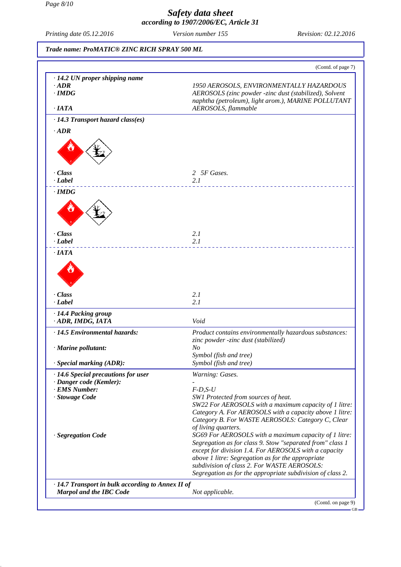#### *Page 8/10*

## *Safety data sheet according to 1907/2006/EC, Article 31*

*Printing date 05.12.2016 Revision: 02.12.2016 Version number 155*

|                                                                                     | (Contd. of page 7)                                                                                                                                                                                                                                                                                                                                                          |
|-------------------------------------------------------------------------------------|-----------------------------------------------------------------------------------------------------------------------------------------------------------------------------------------------------------------------------------------------------------------------------------------------------------------------------------------------------------------------------|
|                                                                                     |                                                                                                                                                                                                                                                                                                                                                                             |
| $\cdot$ 14.2 UN proper shipping name<br>$\cdot$ <i>ADR</i><br>$\cdot$ IMDG          | 1950 AEROSOLS, ENVIRONMENTALLY HAZARDOUS<br>AEROSOLS (zinc powder -zinc dust (stabilized), Solvent<br>naphtha (petroleum), light arom.), MARINE POLLUTANT                                                                                                                                                                                                                   |
| $\cdot$ <i>IATA</i>                                                                 | AEROSOLS, flammable                                                                                                                                                                                                                                                                                                                                                         |
| $\cdot$ 14.3 Transport hazard class(es)                                             |                                                                                                                                                                                                                                                                                                                                                                             |
| $-ADR$                                                                              |                                                                                                                                                                                                                                                                                                                                                                             |
|                                                                                     |                                                                                                                                                                                                                                                                                                                                                                             |
| $\cdot$ Class<br>· Label                                                            | 2 5F Gases.<br>2.1                                                                                                                                                                                                                                                                                                                                                          |
| $\cdot$ IMDG                                                                        |                                                                                                                                                                                                                                                                                                                                                                             |
|                                                                                     |                                                                                                                                                                                                                                                                                                                                                                             |
| $\cdot$ Class<br>· Label                                                            | 2.1<br>2.1                                                                                                                                                                                                                                                                                                                                                                  |
| $\cdot$ IATA                                                                        |                                                                                                                                                                                                                                                                                                                                                                             |
| $\cdot$ Class<br>· Label                                                            | 2.1<br>2.1                                                                                                                                                                                                                                                                                                                                                                  |
| · 14.4 Packing group                                                                |                                                                                                                                                                                                                                                                                                                                                                             |
| · ADR, IMDG, IATA                                                                   | Void                                                                                                                                                                                                                                                                                                                                                                        |
| · 14.5 Environmental hazards:                                                       | Product contains environmentally hazardous substances:                                                                                                                                                                                                                                                                                                                      |
| · Marine pollutant:                                                                 | zinc powder -zinc dust (stabilized)<br>N <sub>O</sub>                                                                                                                                                                                                                                                                                                                       |
|                                                                                     | Symbol (fish and tree)                                                                                                                                                                                                                                                                                                                                                      |
| · Special marking (ADR):                                                            | Symbol (fish and tree)                                                                                                                                                                                                                                                                                                                                                      |
| · 14.6 Special precautions for user<br>· Danger code (Kemler):                      | Warning: Gases.                                                                                                                                                                                                                                                                                                                                                             |
| · EMS Number:                                                                       | $F-D, S-U$                                                                                                                                                                                                                                                                                                                                                                  |
| · Stowage Code                                                                      | SW1 Protected from sources of heat.                                                                                                                                                                                                                                                                                                                                         |
| · Segregation Code                                                                  | SW22 For AEROSOLS with a maximum capacity of 1 litre:<br>Category A. For AEROSOLS with a capacity above 1 litre:<br>Category B. For WASTE AEROSOLS: Category C, Clear<br>of living quarters.<br>SG69 For AEROSOLS with a maximum capacity of 1 litre:<br>Segregation as for class 9. Stow "separated from" class 1<br>except for division 1.4. For AEROSOLS with a capacity |
|                                                                                     | above 1 litre: Segregation as for the appropriate<br>subdivision of class 2. For WASTE AEROSOLS:<br>Segregation as for the appropriate subdivision of class 2.                                                                                                                                                                                                              |
| · 14.7 Transport in bulk according to Annex II of<br><b>Marpol and the IBC Code</b> | Not applicable.                                                                                                                                                                                                                                                                                                                                                             |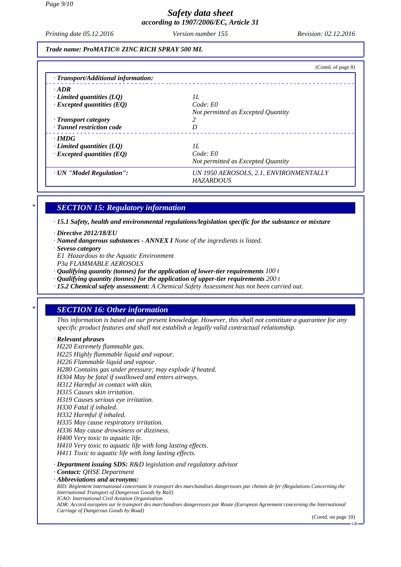*Printing date 05.12.2016 Revision: 02.12.2016 Version number 155*

*Trade name: ProMATIC® ZINC RICH SPRAY 500 ML*

|                                     | (Contd. of page 8)                                         |
|-------------------------------------|------------------------------------------------------------|
| · Transport/Additional information: |                                                            |
| $\cdot$ ADR                         |                                                            |
| $\cdot$ Limited quantities (LQ)     | 11.                                                        |
| $\cdot$ Excepted quantities (EQ)    | Code: E0                                                   |
|                                     | Not permitted as Excepted Quantity                         |
| $\cdot$ Transport category          |                                                            |
| · Tunnel restriction code           | D                                                          |
| $\cdot$ IMDG                        |                                                            |
| $\cdot$ Limited quantities (LQ)     | II.                                                        |
| $\cdot$ Excepted quantities (EQ)    | Code: E0                                                   |
|                                     | Not permitted as Excepted Quantity                         |
| · UN "Model Regulation":            | UN 1950 AEROSOLS, 2.1, ENVIRONMENTALLY<br><b>HAZARDOUS</b> |

## *\* SECTION 15: Regulatory information*

*· 15.1 Safety, health and environmental regulations/legislation specific for the substance or mixture*

- *· Directive 2012/18/EU*
- *· Named dangerous substances ANNEX I None of the ingredients is listed.*
- *· Seveso category E1 Hazardous to the Aquatic Environment*
- *P3a FLAMMABLE AEROSOLS*

*· Qualifying quantity (tonnes) for the application of lower-tier requirements 100 t*

- *· Qualifying quantity (tonnes) for the application of upper-tier requirements 200 t*
- *· 15.2 Chemical safety assessment: A Chemical Safety Assessment has not been carried out.*

## *\* SECTION 16: Other information*

*This information is based on our present knowledge. However, this shall not constitute a guarantee for any specific product features and shall not establish a legally valid contractual relationship.*

#### *· Relevant phrases*

*H220 Extremely flammable gas. H225 Highly flammable liquid and vapour. H226 Flammable liquid and vapour. H280 Contains gas under pressure; may explode if heated. H304 May be fatal if swallowed and enters airways. H312 Harmful in contact with skin. H315 Causes skin irritation. H319 Causes serious eye irritation. H330 Fatal if inhaled. H332 Harmful if inhaled. H335 May cause respiratory irritation. H336 May cause drowsiness or dizziness. H400 Very toxic to aquatic life. H410 Very toxic to aquatic life with long lasting effects. H411 Toxic to aquatic life with long lasting effects. · Department issuing SDS: R&D legislation and regulatory advisor · Contact: QHSE Department · Abbreviations and acronyms: RID: Règlement international concernant le transport des marchandises dangereuses par chemin de fer (Regulations Concerning the International Transport of Dangerous Goods by Rail) ICAO: International Civil Aviation Organisation ADR: Accord européen sur le transport des marchandises dangereuses par Route (European Agreement concerning the International Carriage of Dangerous Goods by Road)*

(Contd. on page 10)

GB